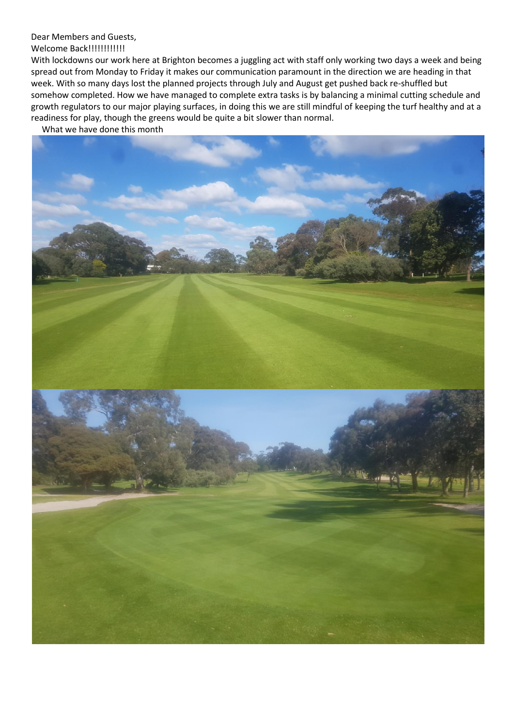## Dear Members and Guests,

Welcome Back!!!!!!!!!!!!!

With lockdowns our work here at Brighton becomes a juggling act with staff only working two days a week and being spread out from Monday to Friday it makes our communication paramount in the direction we are heading in that week. With so many days lost the planned projects through July and August get pushed back re-shuffled but somehow completed. How we have managed to complete extra tasks is by balancing a minimal cutting schedule and growth regulators to our major playing surfaces, in doing this we are still mindful of keeping the turf healthy and at a readiness for play, though the greens would be quite a bit slower than normal.

What we have done this month

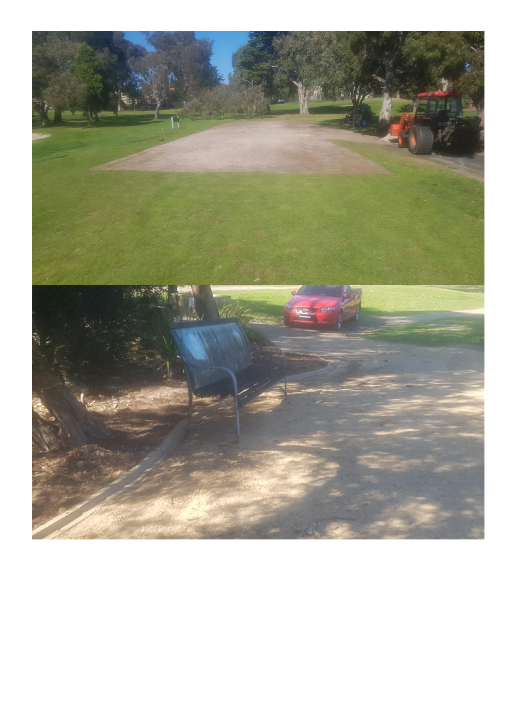